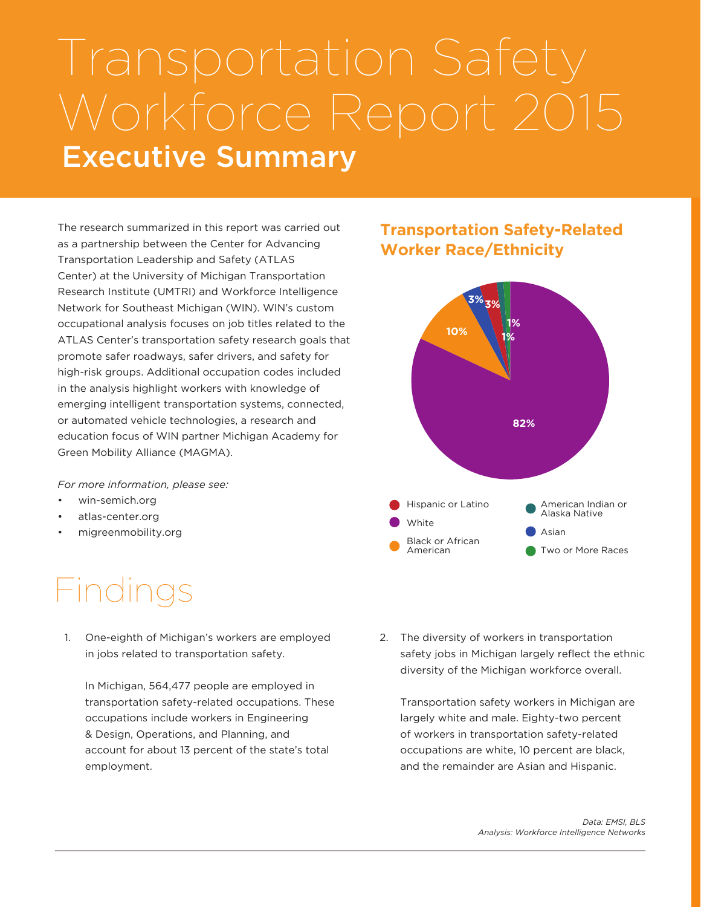# Executive Summary Transportation Safety Workforce Report 2015

The research summarized in this report was carried out as a partnership between the Center for Advancing Transportation Leadership and Safety (ATLAS Center) at the University of Michigan Transportation Research Institute (UMTRI) and Workforce Intelligence Network for Southeast Michigan (WIN). WIN's custom occupational analysis focuses on job titles related to the ATLAS Center's transportation safety research goals that promote safer roadways, safer drivers, and safety for high-risk groups. Additional occupation codes included in the analysis highlight workers with knowledge of emerging intelligent transportation systems, connected, or automated vehicle technologies, a research and education focus of WIN partner Michigan Academy for Green Mobility Alliance (MAGMA).

*For more information, please see:*

- win-semich.org
- atlas-center.org
- migreenmobility.org

## Findings

1. One-eighth of Michigan's workers are employed in jobs related to transportation safety.

In Michigan, 564,477 people are employed in transportation safety-related occupations. These occupations include workers in Engineering & Design, Operations, and Planning, and account for about 13 percent of the state's total employment.

### **Transportation Safety-Related Worker Race/Ethnicity**



2. The diversity of workers in transportation safety jobs in Michigan largely reflect the ethnic diversity of the Michigan workforce overall.

Transportation safety workers in Michigan are largely white and male. Eighty-two percent of workers in transportation safety-related occupations are white, 10 percent are black, and the remainder are Asian and Hispanic.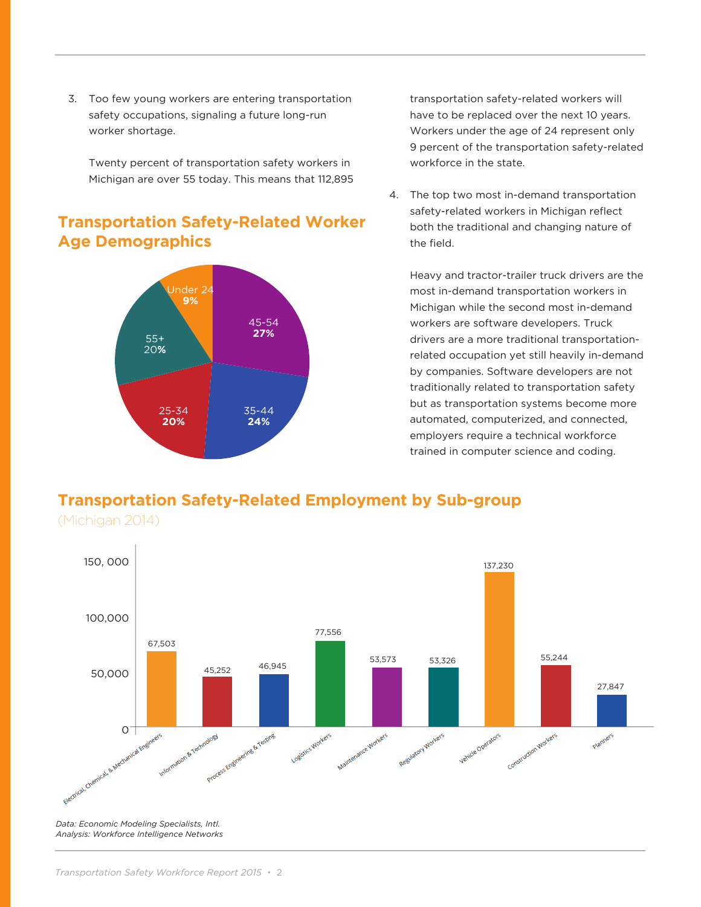3. Too few young workers are entering transportation safety occupations, signaling a future long-run worker shortage.

Twenty percent of transportation safety workers in Michigan are over 55 today. This means that 112,895

### **Transportation Safety-Related Worker Age Demographics**



transportation safety-related workers will have to be replaced over the next 10 years. Workers under the age of 24 represent only 9 percent of the transportation safety-related workforce in the state.

4. The top two most in-demand transportation safety-related workers in Michigan reflect both the traditional and changing nature of the field.

Heavy and tractor-trailer truck drivers are the most in-demand transportation workers in Michigan while the second most in-demand workers are software developers. Truck drivers are a more traditional transportationrelated occupation yet still heavily in-demand by companies. Software developers are not traditionally related to transportation safety but as transportation systems become more automated, computerized, and connected, employers require a technical workforce trained in computer science and coding.

#### **Transportation Safety-Related Employment by Sub-group**

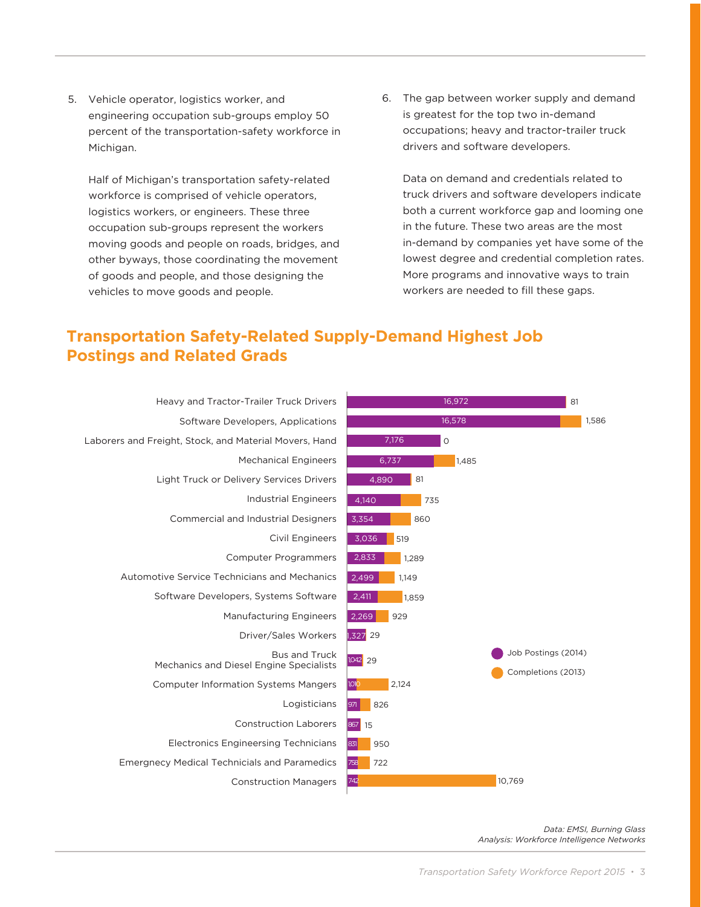5. Vehicle operator, logistics worker, and engineering occupation sub-groups employ 50 percent of the transportation-safety workforce in Michigan.

Half of Michigan's transportation safety-related workforce is comprised of vehicle operators, logistics workers, or engineers. These three occupation sub-groups represent the workers moving goods and people on roads, bridges, and other byways, those coordinating the movement of goods and people, and those designing the vehicles to move goods and people.

6. The gap between worker supply and demand is greatest for the top two in-demand occupations; heavy and tractor-trailer truck drivers and software developers.

Data on demand and credentials related to truck drivers and software developers indicate both a current workforce gap and looming one in the future. These two areas are the most in-demand by companies yet have some of the lowest degree and credential completion rates. More programs and innovative ways to train workers are needed to fill these gaps.

### **Transportation Safety-Related Supply-Demand Highest Job Postings and Related Grads**



*Data: EMSI, Burning Glass Analysis: Workforce Intelligence Networks*